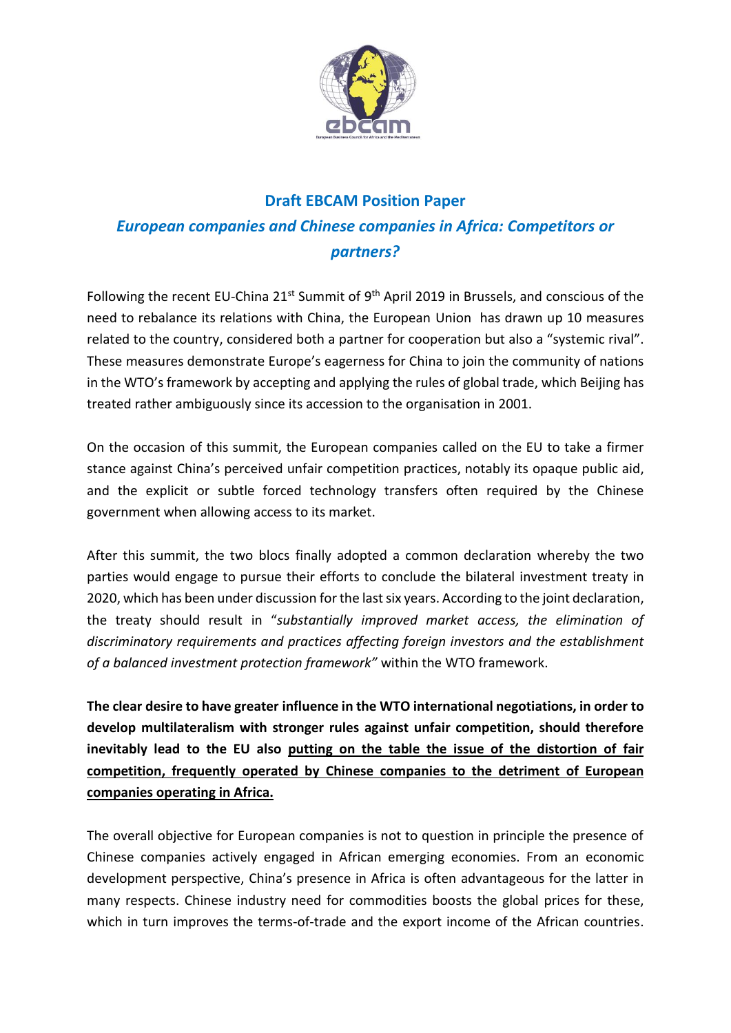

## **Draft EBCAM Position Paper** *European companies and Chinese companies in Africa: Competitors or partners?*

Following the recent EU-China  $21^{st}$  Summit of 9<sup>th</sup> April 2019 in Brussels, and conscious of the need to rebalance its relations with China, the European Union has drawn up 10 measures related to the country, considered both a partner for cooperation but also a "systemic rival". These measures demonstrate Europe's eagerness for China to join the community of nations in the WTO's framework by accepting and applying the rules of global trade, which Beijing has treated rather ambiguously since its accession to the organisation in 2001.

On the occasion of this summit, the European companies called on the EU to take a firmer stance against China's perceived unfair competition practices, notably its opaque public aid, and the explicit or subtle forced technology transfers often required by the Chinese government when allowing access to its market.

After this summit, the two blocs finally adopted a common declaration whereby the two parties would engage to pursue their efforts to conclude the bilateral investment treaty in 2020, which has been under discussion for the last six years. According to the joint declaration, the treaty should result in "*substantially improved market access, the elimination of discriminatory requirements and practices affecting foreign investors and the establishment of a balanced investment protection framework"* within the WTO framework.

**The clear desire to have greater influence in the WTO international negotiations, in order to develop multilateralism with stronger rules against unfair competition, should therefore inevitably lead to the EU also putting on the table the issue of the distortion of fair competition, frequently operated by Chinese companies to the detriment of European companies operating in Africa.**

The overall objective for European companies is not to question in principle the presence of Chinese companies actively engaged in African emerging economies. From an economic development perspective, China's presence in Africa is often advantageous for the latter in many respects. Chinese industry need for commodities boosts the global prices for these, which in turn improves the terms-of-trade and the export income of the African countries.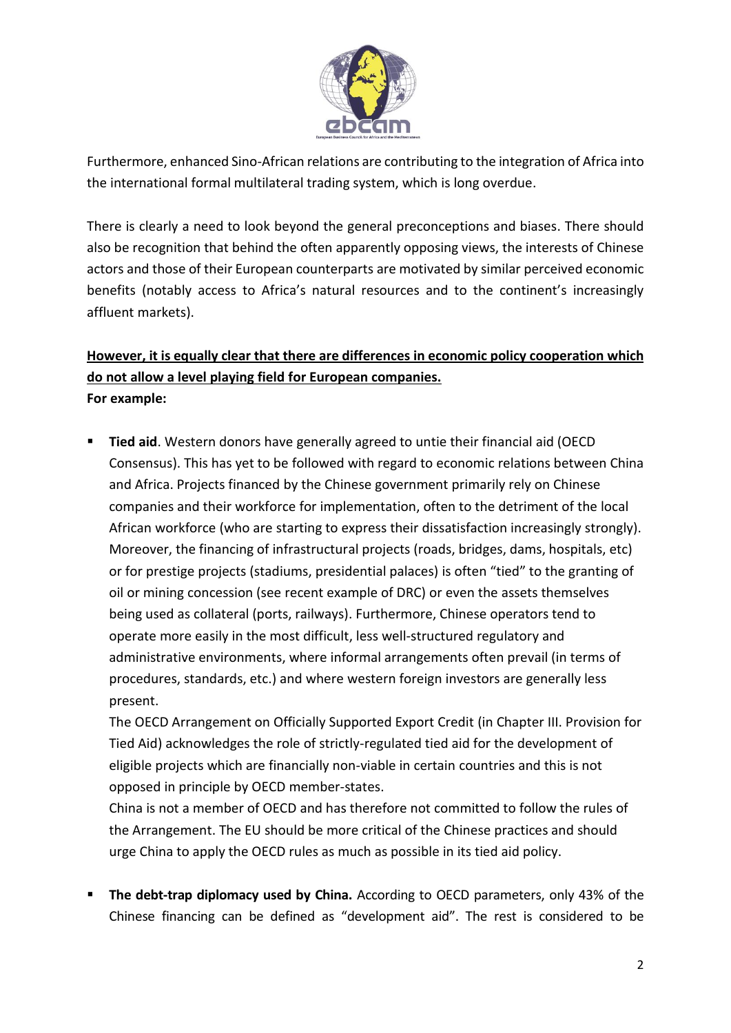

Furthermore, enhanced Sino-African relations are contributing to the integration of Africa into the international formal multilateral trading system, which is long overdue.

There is clearly a need to look beyond the general preconceptions and biases. There should also be recognition that behind the often apparently opposing views, the interests of Chinese actors and those of their European counterparts are motivated by similar perceived economic benefits (notably access to Africa's natural resources and to the continent's increasingly affluent markets).

## **However, it is equally clear that there are differences in economic policy cooperation which do not allow a level playing field for European companies. For example:**

**E** Tied aid. Western donors have generally agreed to untie their financial aid (OECD Consensus). This has yet to be followed with regard to economic relations between China and Africa. Projects financed by the Chinese government primarily rely on Chinese companies and their workforce for implementation, often to the detriment of the local African workforce (who are starting to express their dissatisfaction increasingly strongly). Moreover, the financing of infrastructural projects (roads, bridges, dams, hospitals, etc) or for prestige projects (stadiums, presidential palaces) is often "tied" to the granting of oil or mining concession (see recent example of DRC) or even the assets themselves being used as collateral (ports, railways). Furthermore, Chinese operators tend to operate more easily in the most difficult, less well-structured regulatory and administrative environments, where informal arrangements often prevail (in terms of procedures, standards, etc.) and where western foreign investors are generally less present.

The OECD Arrangement on Officially Supported Export Credit (in Chapter III. Provision for Tied Aid) acknowledges the role of strictly-regulated tied aid for the development of eligible projects which are financially non-viable in certain countries and this is not opposed in principle by OECD member-states.

China is not a member of OECD and has therefore not committed to follow the rules of the Arrangement. The EU should be more critical of the Chinese practices and should urge China to apply the OECD rules as much as possible in its tied aid policy.

**EXTED The debt-trap diplomacy used by China.** According to OECD parameters, only 43% of the Chinese financing can be defined as "development aid". The rest is considered to be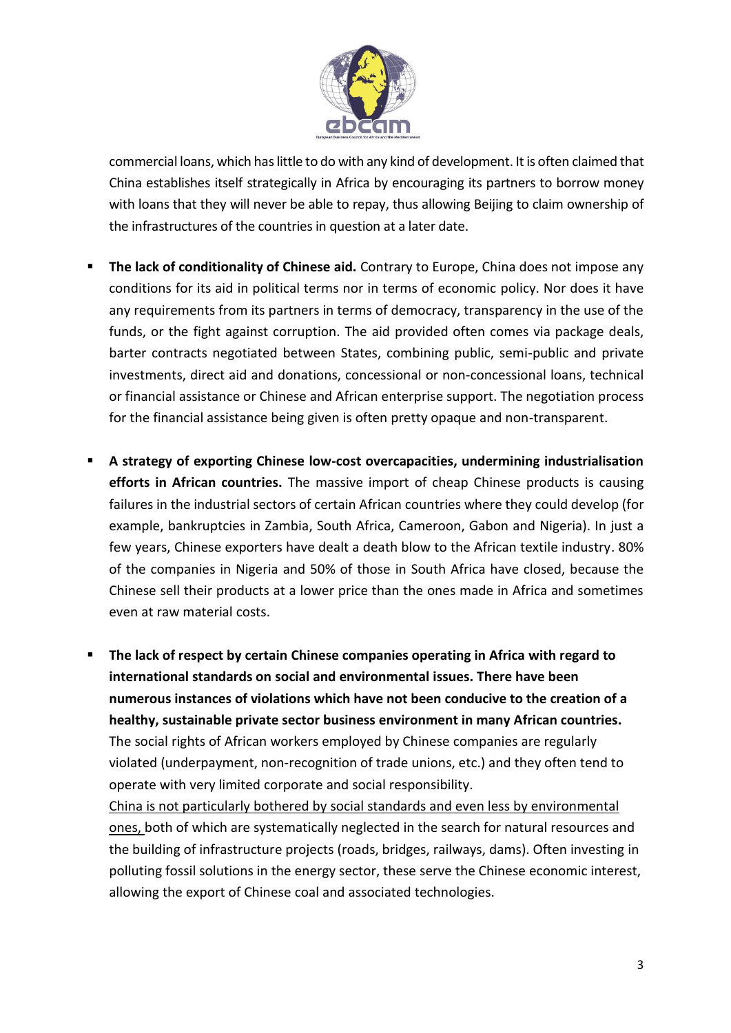

commercial loans, which has little to do with any kind of development. It is often claimed that China establishes itself strategically in Africa by encouraging its partners to borrow money with loans that they will never be able to repay, thus allowing Beijing to claim ownership of the infrastructures of the countries in question at a later date.

- **E** The lack of conditionality of Chinese aid. Contrary to Europe, China does not impose any conditions for its aid in political terms nor in terms of economic policy. Nor does it have any requirements from its partners in terms of democracy, transparency in the use of the funds, or the fight against corruption. The aid provided often comes via package deals, barter contracts negotiated between States, combining public, semi-public and private investments, direct aid and donations, concessional or non-concessional loans, technical or financial assistance or Chinese and African enterprise support. The negotiation process for the financial assistance being given is often pretty opaque and non-transparent.
- A strategy of exporting Chinese low-cost overcapacities, undermining industrialisation **efforts in African countries.** The massive import of cheap Chinese products is causing failures in the industrial sectors of certain African countries where they could develop (for example, bankruptcies in Zambia, South Africa, Cameroon, Gabon and Nigeria). In just a few years, Chinese exporters have dealt a death blow to the African textile industry. 80% of the companies in Nigeria and 50% of those in South Africa have closed, because the Chinese sell their products at a lower price than the ones made in Africa and sometimes even at raw material costs.

▪ **The lack of respect by certain Chinese companies operating in Africa with regard to international standards on social and environmental issues. There have been numerous instances of violations which have not been conducive to the creation of a healthy, sustainable private sector business environment in many African countries.** The social rights of African workers employed by Chinese companies are regularly violated (underpayment, non-recognition of trade unions, etc.) and they often tend to operate with very limited corporate and social responsibility.

China is not particularly bothered by social standards and even less by environmental ones, both of which are systematically neglected in the search for natural resources and the building of infrastructure projects (roads, bridges, railways, dams). Often investing in polluting fossil solutions in the energy sector, these serve the Chinese economic interest, allowing the export of Chinese coal and associated technologies.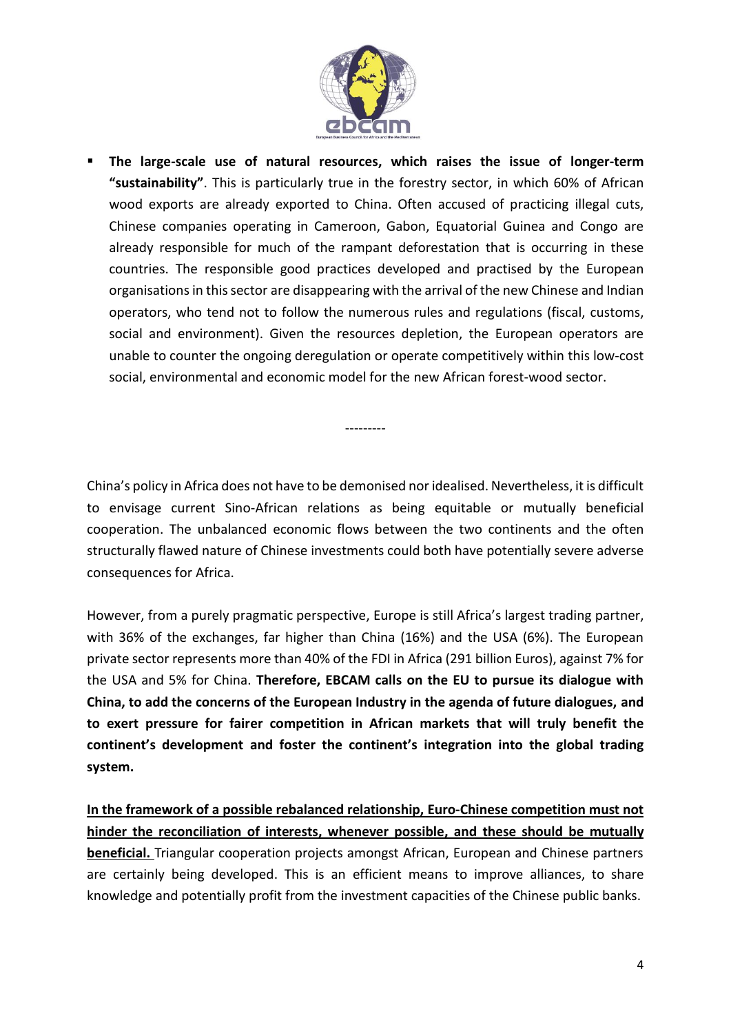

▪ **The large-scale use of natural resources, which raises the issue of longer-term "sustainability"**. This is particularly true in the forestry sector, in which 60% of African wood exports are already exported to China. Often accused of practicing illegal cuts, Chinese companies operating in Cameroon, Gabon, Equatorial Guinea and Congo are already responsible for much of the rampant deforestation that is occurring in these countries. The responsible good practices developed and practised by the European organisations in this sector are disappearing with the arrival of the new Chinese and Indian operators, who tend not to follow the numerous rules and regulations (fiscal, customs, social and environment). Given the resources depletion, the European operators are unable to counter the ongoing deregulation or operate competitively within this low-cost social, environmental and economic model for the new African forest-wood sector.

China's policy in Africa does not have to be demonised nor idealised. Nevertheless, it is difficult to envisage current Sino-African relations as being equitable or mutually beneficial cooperation. The unbalanced economic flows between the two continents and the often structurally flawed nature of Chinese investments could both have potentially severe adverse consequences for Africa.

---------

However, from a purely pragmatic perspective, Europe is still Africa's largest trading partner, with 36% of the exchanges, far higher than China (16%) and the USA (6%). The European private sector represents more than 40% of the FDI in Africa (291 billion Euros), against 7% for the USA and 5% for China. **Therefore, EBCAM calls on the EU to pursue its dialogue with China, to add the concerns of the European Industry in the agenda of future dialogues, and to exert pressure for fairer competition in African markets that will truly benefit the continent's development and foster the continent's integration into the global trading system.**

**In the framework of a possible rebalanced relationship, Euro-Chinese competition must not hinder the reconciliation of interests, whenever possible, and these should be mutually beneficial.** Triangular cooperation projects amongst African, European and Chinese partners are certainly being developed. This is an efficient means to improve alliances, to share knowledge and potentially profit from the investment capacities of the Chinese public banks.